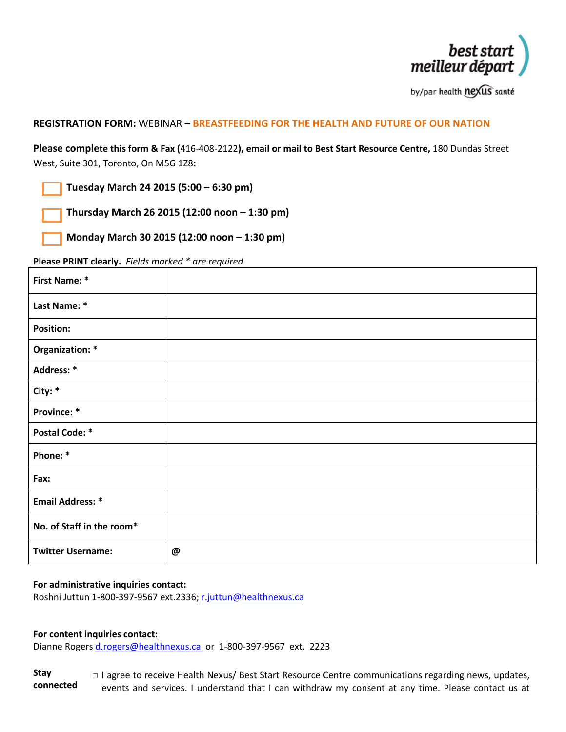

by/par health nexus santé

# **REGISTRATION FORM:** WEBINAR **– BREASTFEEDING FOR THE HEALTH AND FUTURE OF OUR NATION**

**Please complete this form & Fax (**416-408-2122**), email or mail to Best Start Resource Centre,** 180 Dundas Street West, Suite 301, Toronto, On M5G 1Z8**:**

**Tuesday March 24 2015 (5:00 – 6:30 pm)**

**Thursday March 26 2015 (12:00 noon – 1:30 pm)**

**Monday March 30 2015 (12:00 noon – 1:30 pm)**

## **Please PRINT clearly.** *Fields marked \* are required*

| <b>First Name: *</b>      |   |
|---------------------------|---|
| Last Name: *              |   |
| <b>Position:</b>          |   |
| Organization: *           |   |
| Address: *                |   |
| City: *                   |   |
| Province: *               |   |
| <b>Postal Code: *</b>     |   |
| Phone: *                  |   |
| Fax:                      |   |
| <b>Email Address: *</b>   |   |
| No. of Staff in the room* |   |
| <b>Twitter Username:</b>  | @ |

### **For administrative inquiries contact:**

Roshni Juttun 1-800-397-9567 ext.2336[; r.juttun@healthnexus.ca](mailto:r.juttun@healthnexus.ca)

### **For content inquiries contact:**

Dianne Rogers [d.rogers@healthnexus.ca](mailto:d.rogers@healthnexus.ca) or 1-800-397-9567 ext. 2223

#### **Stay connected** □ I agree to receive Health Nexus/ Best Start Resource Centre communications regarding news, updates, events and services. I understand that I can withdraw my consent at any time. Please contact us at